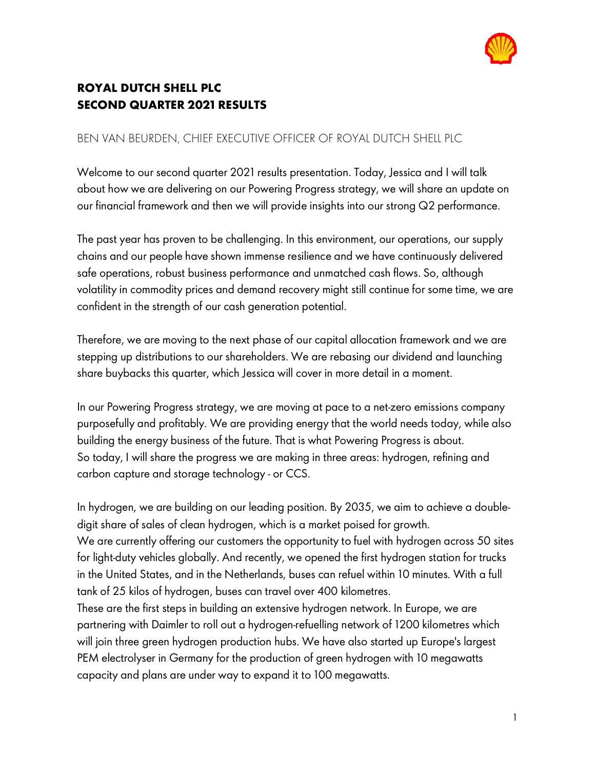

# **ROYAL DUTCH SHELL PLC SECOND QUARTER 2021 RESULTS**

#### BEN VAN BEURDEN, CHIEF EXECUTIVE OFFICER OF ROYAL DUTCH SHELL PLC

Welcome to our second quarter 2021 results presentation. Today, Jessica and I will talk about how we are delivering on our Powering Progress strategy, we will share an update on our financial framework and then we will provide insights into our strong Q2 performance.

The past year has proven to be challenging. In this environment, our operations, our supply chains and our people have shown immense resilience and we have continuously delivered safe operations, robust business performance and unmatched cash flows. So, although volatility in commodity prices and demand recovery might still continue for some time, we are confident in the strength of our cash generation potential.

Therefore, we are moving to the next phase of our capital allocation framework and we are stepping up distributions to our shareholders. We are rebasing our dividend and launching share buybacks this quarter, which Jessica will cover in more detail in a moment.

In our Powering Progress strategy, we are moving at pace to a net-zero emissions company purposefully and profitably. We are providing energy that the world needs today, while also building the energy business of the future. That is what Powering Progress is about. So today, I will share the progress we are making in three areas: hydrogen, refining and carbon capture and storage technology - or CCS.

In hydrogen, we are building on our leading position. By 2035, we aim to achieve a doubledigit share of sales of clean hydrogen, which is a market poised for growth.

We are currently offering our customers the opportunity to fuel with hydrogen across 50 sites for light-duty vehicles globally. And recently, we opened the first hydrogen station for trucks in the United States, and in the Netherlands, buses can refuel within 10 minutes. With a full tank of 25 kilos of hydrogen, buses can travel over 400 kilometres.

These are the first steps in building an extensive hydrogen network. In Europe, we are partnering with Daimler to roll out a hydrogen-refuelling network of 1200 kilometres which will join three green hydrogen production hubs. We have also started up Europe's largest PEM electrolyser in Germany for the production of green hydrogen with 10 megawatts capacity and plans are under way to expand it to 100 megawatts.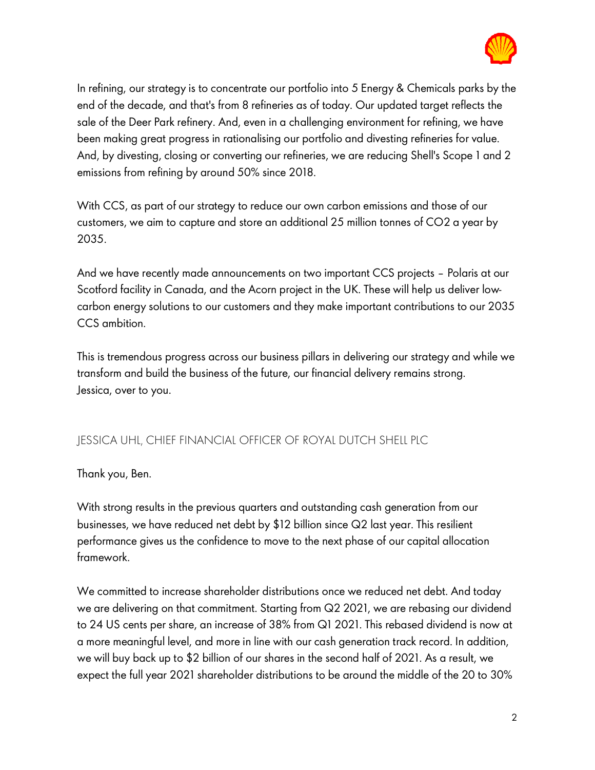

In refining, our strategy is to concentrate our portfolio into 5 Energy & Chemicals parks by the end of the decade, and that's from 8 refineries as of today. Our updated target reflects the sale of the Deer Park refinery. And, even in a challenging environment for refining, we have been making great progress in rationalising our portfolio and divesting refineries for value. And, by divesting, closing or converting our refineries, we are reducing Shell's Scope 1 and 2 emissions from refining by around 50% since 2018.

With CCS, as part of our strategy to reduce our own carbon emissions and those of our customers, we aim to capture and store an additional 25 million tonnes of CO2 a year by 2035.

And we have recently made announcements on two important CCS projects – Polaris at our Scotford facility in Canada, and the Acorn project in the UK. These will help us deliver lowcarbon energy solutions to our customers and they make important contributions to our 2035 CCS ambition.

This is tremendous progress across our business pillars in delivering our strategy and while we transform and build the business of the future, our financial delivery remains strong. Jessica, over to you.

## JESSICA UHL, CHIEF FINANCIAL OFFICER OF ROYAL DUTCH SHELL PLC

Thank you, Ben.

With strong results in the previous quarters and outstanding cash generation from our businesses, we have reduced net debt by \$12 billion since Q2 last year. This resilient performance gives us the confidence to move to the next phase of our capital allocation framework.

We committed to increase shareholder distributions once we reduced net debt. And today we are delivering on that commitment. Starting from Q2 2021, we are rebasing our dividend to 24 US cents per share, an increase of 38% from Q1 2021. This rebased dividend is now at a more meaningful level, and more in line with our cash generation track record. In addition, we will buy back up to \$2 billion of our shares in the second half of 2021. As a result, we expect the full year 2021 shareholder distributions to be around the middle of the 20 to 30%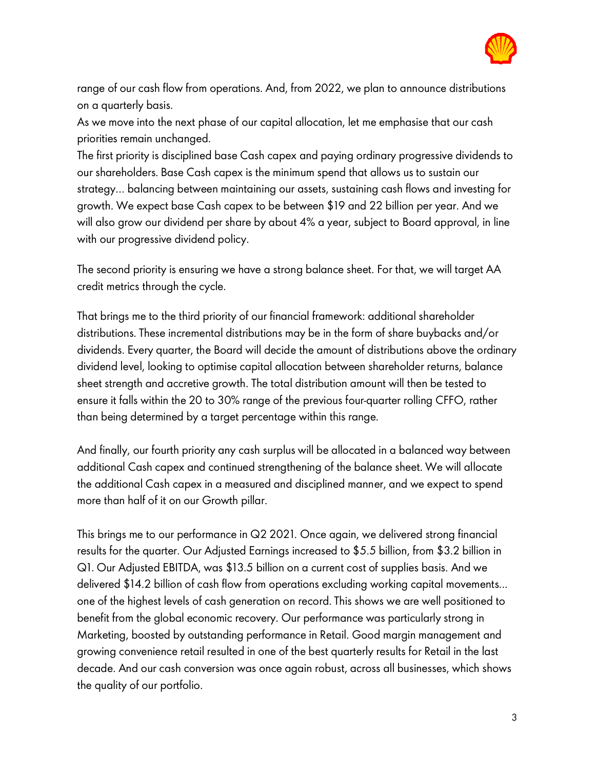

range of our cash flow from operations. And, from 2022, we plan to announce distributions on a quarterly basis.

As we move into the next phase of our capital allocation, let me emphasise that our cash priorities remain unchanged.

The first priority is disciplined base Cash capex and paying ordinary progressive dividends to our shareholders. Base Cash capex is the minimum spend that allows us to sustain our strategy… balancing between maintaining our assets, sustaining cash flows and investing for growth. We expect base Cash capex to be between \$19 and 22 billion per year. And we will also grow our dividend per share by about 4% a year, subject to Board approval, in line with our progressive dividend policy.

The second priority is ensuring we have a strong balance sheet. For that, we will target AA credit metrics through the cycle.

That brings me to the third priority of our financial framework: additional shareholder distributions. These incremental distributions may be in the form of share buybacks and/or dividends. Every quarter, the Board will decide the amount of distributions above the ordinary dividend level, looking to optimise capital allocation between shareholder returns, balance sheet strength and accretive growth. The total distribution amount will then be tested to ensure it falls within the 20 to 30% range of the previous four-quarter rolling CFFO, rather than being determined by a target percentage within this range.

And finally, our fourth priority any cash surplus will be allocated in a balanced way between additional Cash capex and continued strengthening of the balance sheet. We will allocate the additional Cash capex in a measured and disciplined manner, and we expect to spend more than half of it on our Growth pillar.

This brings me to our performance in Q2 2021. Once again, we delivered strong financial results for the quarter. Our Adjusted Earnings increased to \$5.5 billion, from \$3.2 billion in Q1. Our Adjusted EBITDA, was \$13.5 billion on a current cost of supplies basis. And we delivered \$14.2 billion of cash flow from operations excluding working capital movements... one of the highest levels of cash generation on record. This shows we are well positioned to benefit from the global economic recovery. Our performance was particularly strong in Marketing, boosted by outstanding performance in Retail. Good margin management and growing convenience retail resulted in one of the best quarterly results for Retail in the last decade. And our cash conversion was once again robust, across all businesses, which shows the quality of our portfolio.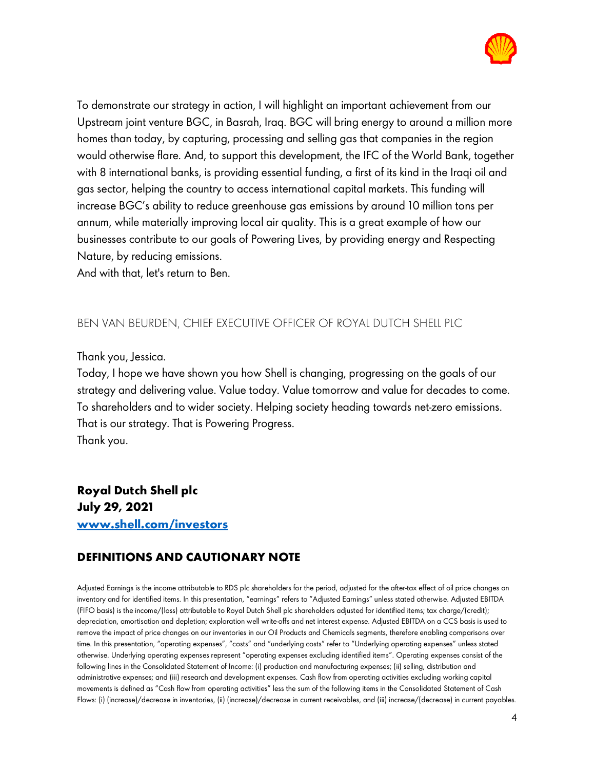

To demonstrate our strategy in action, I will highlight an important achievement from our Upstream joint venture BGC, in Basrah, Iraq. BGC will bring energy to around a million more homes than today, by capturing, processing and selling gas that companies in the region would otherwise flare. And, to support this development, the IFC of the World Bank, together with 8 international banks, is providing essential funding, a first of its kind in the Iraqi oil and gas sector, helping the country to access international capital markets. This funding will increase BGC's ability to reduce greenhouse gas emissions by around 10 million tons per annum, while materially improving local air quality. This is a great example of how our businesses contribute to our goals of Powering Lives, by providing energy and Respecting Nature, by reducing emissions.

And with that, let's return to Ben.

#### BEN VAN BEURDEN, CHIEF EXECUTIVE OFFICER OF ROYAL DUTCH SHELL PLC

Thank you, Jessica.

Today, I hope we have shown you how Shell is changing, progressing on the goals of our strategy and delivering value. Value today. Value tomorrow and value for decades to come. To shareholders and to wider society. Helping society heading towards net-zero emissions. That is our strategy. That is Powering Progress. Thank you.

**Royal Dutch Shell plc July 29, 2021 www.shell.com/investors** 

## **DEFINITIONS AND CAUTIONARY NOTE**

Adjusted Earnings is the income attributable to RDS plc shareholders for the period, adjusted for the after-tax effect of oil price changes on inventory and for identified items. In this presentation, "earnings" refers to "Adjusted Earnings" unless stated otherwise. Adjusted EBITDA (FIFO basis) is the income/(loss) attributable to Royal Dutch Shell plc shareholders adjusted for identified items; tax charge/(credit); depreciation, amortisation and depletion; exploration well write-offs and net interest expense. Adjusted EBITDA on a CCS basis is used to remove the impact of price changes on our inventories in our Oil Products and Chemicals segments, therefore enabling comparisons over time. In this presentation, "operating expenses", "costs" and "underlying costs" refer to "Underlying operating expenses" unless stated otherwise. Underlying operating expenses represent "operating expenses excluding identified items". Operating expenses consist of the following lines in the Consolidated Statement of Income: (i) production and manufacturing expenses; (ii) selling, distribution and administrative expenses; and (iii) research and development expenses. Cash flow from operating activities excluding working capital movements is defined as "Cash flow from operating activities" less the sum of the following items in the Consolidated Statement of Cash Flows: (i) (increase)/decrease in inventories, (ii) (increase)/decrease in current receivables, and (iii) increase/(decrease) in current payables.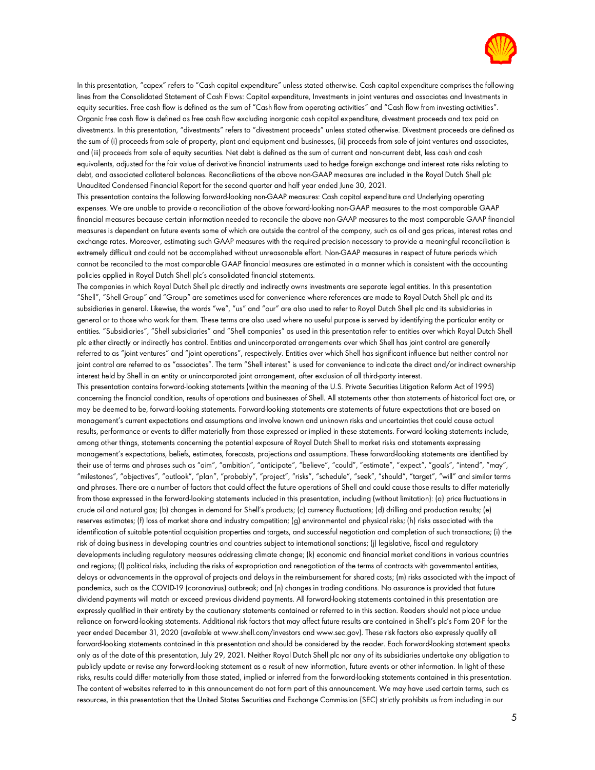

In this presentation, "capex" refers to "Cash capital expenditure" unless stated otherwise. Cash capital expenditure comprises the following lines from the Consolidated Statement of Cash Flows: Capital expenditure, Investments in joint ventures and associates and Investments in equity securities. Free cash flow is defined as the sum of "Cash flow from operating activities" and "Cash flow from investing activities". Organic free cash flow is defined as free cash flow excluding inorganic cash capital expenditure, divestment proceeds and tax paid on divestments. In this presentation, "divestments" refers to "divestment proceeds" unless stated otherwise. Divestment proceeds are defined as the sum of (i) proceeds from sale of property, plant and equipment and businesses, (ii) proceeds from sale of joint ventures and associates, and (iii) proceeds from sale of equity securities. Net debt is defined as the sum of current and non-current debt, less cash and cash equivalents, adjusted for the fair value of derivative financial instruments used to hedge foreign exchange and interest rate risks relating to debt, and associated collateral balances. Reconciliations of the above non-GAAP measures are included in the Royal Dutch Shell plc Unaudited Condensed Financial Report for the second quarter and half year ended June 30, 2021.

This presentation contains the following forward-looking non-GAAP measures: Cash capital expenditure and Underlying operating expenses. We are unable to provide a reconciliation of the above forward-looking non-GAAP measures to the most comparable GAAP financial measures because certain information needed to reconcile the above non-GAAP measures to the most comparable GAAP financial measures is dependent on future events some of which are outside the control of the company, such as oil and gas prices, interest rates and exchange rates. Moreover, estimating such GAAP measures with the required precision necessary to provide a meaningful reconciliation is extremely difficult and could not be accomplished without unreasonable effort. Non-GAAP measures in respect of future periods which cannot be reconciled to the most comparable GAAP financial measures are estimated in a manner which is consistent with the accounting policies applied in Royal Dutch Shell plc's consolidated financial statements.

The companies in which Royal Dutch Shell plc directly and indirectly owns investments are separate legal entities. In this presentation "Shell", "Shell Group" and "Group" are sometimes used for convenience where references are made to Royal Dutch Shell plc and its subsidiaries in general. Likewise, the words "we", "us" and "our" are also used to refer to Royal Dutch Shell plc and its subsidiaries in general or to those who work for them. These terms are also used where no useful purpose is served by identifying the particular entity or entities. "Subsidiaries", "Shell subsidiaries" and "Shell companies" as used in this presentation refer to entities over which Royal Dutch Shell plc either directly or indirectly has control. Entities and unincorporated arrangements over which Shell has joint control are generally referred to as "joint ventures" and "joint operations", respectively. Entities over which Shell has significant influence but neither control nor joint control are referred to as "associates". The term "Shell interest" is used for convenience to indicate the direct and/or indirect ownership interest held by Shell in an entity or unincorporated joint arrangement, after exclusion of all third-party interest.

This presentation contains forward-looking statements (within the meaning of the U.S. Private Securities Litigation Reform Act of 1995) concerning the financial condition, results of operations and businesses of Shell. All statements other than statements of historical fact are, or may be deemed to be, forward-looking statements. Forward-looking statements are statements of future expectations that are based on management's current expectations and assumptions and involve known and unknown risks and uncertainties that could cause actual results, performance or events to differ materially from those expressed or implied in these statements. Forward-looking statements include, among other things, statements concerning the potential exposure of Royal Dutch Shell to market risks and statements expressing management's expectations, beliefs, estimates, forecasts, projections and assumptions. These forward-looking statements are identified by their use of terms and phrases such as "aim", "ambition", "anticipate", "believe", "could", "estimate", "expect", "goals", "intend", "may", "milestones", "objectives", "outlook", "plan", "probably", "project", "risks", "schedule", "seek", "should", "target", "will" and similar terms and phrases. There are a number of factors that could affect the future operations of Shell and could cause those results to differ materially from those expressed in the forward-looking statements included in this presentation, including (without limitation): (a) price fluctuations in crude oil and natural gas; (b) changes in demand for Shell's products; (c) currency fluctuations; (d) drilling and production results; (e) reserves estimates; (f) loss of market share and industry competition; (g) environmental and physical risks; (h) risks associated with the identification of suitable potential acquisition properties and targets, and successful negotiation and completion of such transactions; (i) the risk of doing business in developing countries and countries subject to international sanctions; (j) legislative, fiscal and regulatory developments including regulatory measures addressing climate change; (k) economic and financial market conditions in various countries and regions; (l) political risks, including the risks of expropriation and renegotiation of the terms of contracts with governmental entities, delays or advancements in the approval of projects and delays in the reimbursement for shared costs; (m) risks associated with the impact of pandemics, such as the COVID-19 (coronavirus) outbreak; and (n) changes in trading conditions. No assurance is provided that future dividend payments will match or exceed previous dividend payments. All forward-looking statements contained in this presentation are expressly qualified in their entirety by the cautionary statements contained or referred to in this section. Readers should not place undue reliance on forward-looking statements. Additional risk factors that may affect future results are contained in Shell's plc's Form 20-F for the year ended December 31, 2020 (available at www.shell.com/investors and www.sec.gov). These risk factors also expressly qualify all forward-looking statements contained in this presentation and should be considered by the reader. Each forward-looking statement speaks only as of the date of this presentation, July 29, 2021. Neither Royal Dutch Shell plc nor any of its subsidiaries undertake any obligation to publicly update or revise any forward-looking statement as a result of new information, future events or other information. In light of these risks, results could differ materially from those stated, implied or inferred from the forward-looking statements contained in this presentation. The content of websites referred to in this announcement do not form part of this announcement. We may have used certain terms, such as resources, in this presentation that the United States Securities and Exchange Commission (SEC) strictly prohibits us from including in our